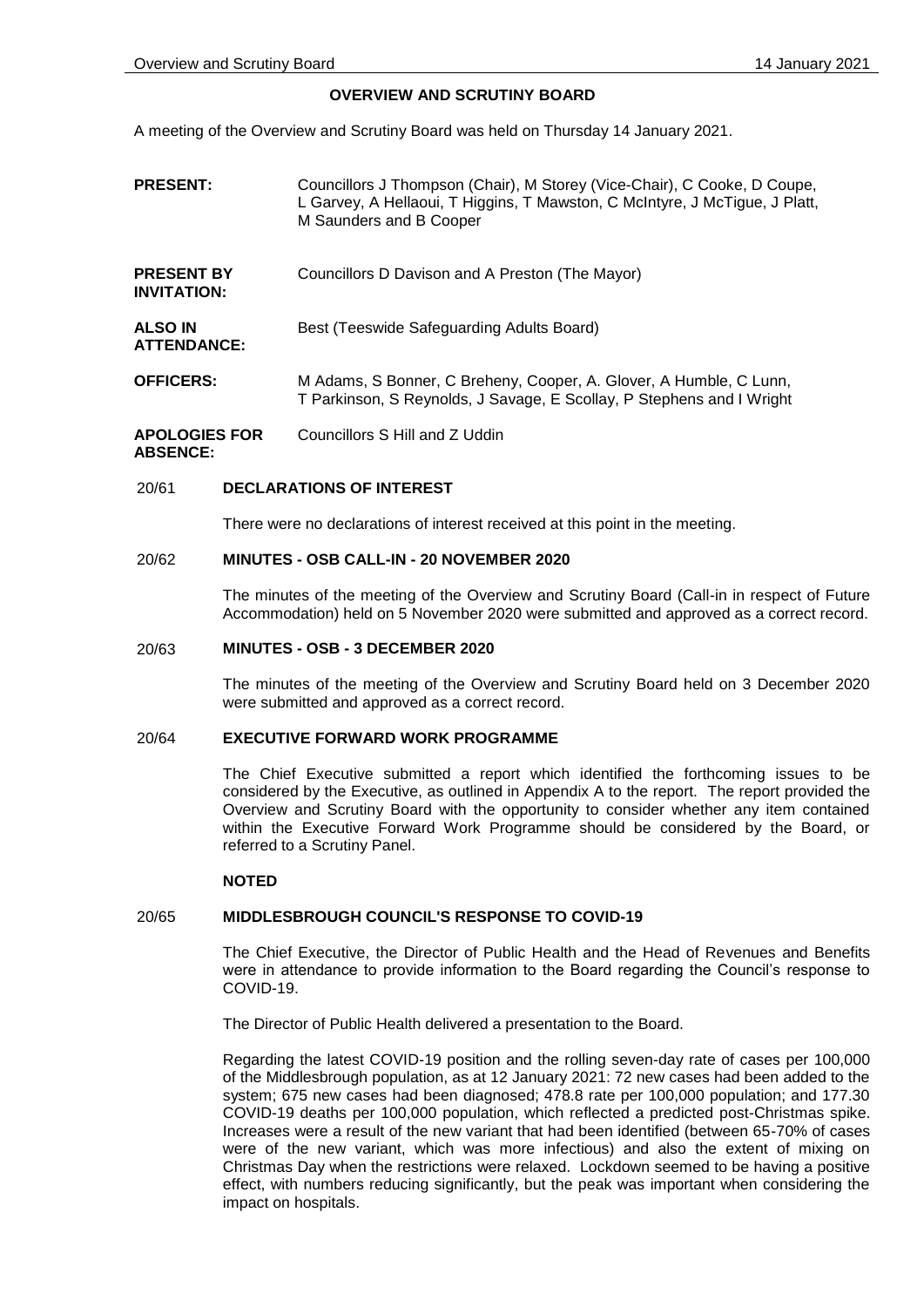**INVITATION:**

**ATTENDANCE:**

# **OVERVIEW AND SCRUTINY BOARD**

A meeting of the Overview and Scrutiny Board was held on Thursday 14 January 2021.

- **PRESENT:** Councillors J Thompson (Chair), M Storey (Vice-Chair), C Cooke, D Coupe, L Garvey, A Hellaoui, T Higgins, T Mawston, C McIntyre, J McTigue, J Platt, M Saunders and B Cooper
- **PRESENT BY**  Councillors D Davison and A Preston (The Mayor)

**ALSO IN**  Best (Teeswide Safeguarding Adults Board)

**OFFICERS:** M Adams, S Bonner, C Breheny, Cooper, A. Glover, A Humble, C Lunn, T Parkinson, S Reynolds, J Savage, E Scollay, P Stephens and I Wright

**APOLOGIES FOR ABSENCE:** Councillors S Hill and Z Uddin

### 20/61 **DECLARATIONS OF INTEREST**

There were no declarations of interest received at this point in the meeting.

### 20/62 **MINUTES - OSB CALL-IN - 20 NOVEMBER 2020**

The minutes of the meeting of the Overview and Scrutiny Board (Call-in in respect of Future Accommodation) held on 5 November 2020 were submitted and approved as a correct record.

#### 20/63 **MINUTES - OSB - 3 DECEMBER 2020**

The minutes of the meeting of the Overview and Scrutiny Board held on 3 December 2020 were submitted and approved as a correct record.

# 20/64 **EXECUTIVE FORWARD WORK PROGRAMME**

The Chief Executive submitted a report which identified the forthcoming issues to be considered by the Executive, as outlined in Appendix A to the report. The report provided the Overview and Scrutiny Board with the opportunity to consider whether any item contained within the Executive Forward Work Programme should be considered by the Board, or referred to a Scrutiny Panel.

#### **NOTED**

### 20/65 **MIDDLESBROUGH COUNCIL'S RESPONSE TO COVID-19**

The Chief Executive, the Director of Public Health and the Head of Revenues and Benefits were in attendance to provide information to the Board regarding the Council's response to COVID-19.

The Director of Public Health delivered a presentation to the Board.

Regarding the latest COVID-19 position and the rolling seven-day rate of cases per 100,000 of the Middlesbrough population, as at 12 January 2021: 72 new cases had been added to the system; 675 new cases had been diagnosed; 478.8 rate per 100,000 population; and 177.30 COVID-19 deaths per 100,000 population, which reflected a predicted post-Christmas spike. Increases were a result of the new variant that had been identified (between 65-70% of cases were of the new variant, which was more infectious) and also the extent of mixing on Christmas Day when the restrictions were relaxed. Lockdown seemed to be having a positive effect, with numbers reducing significantly, but the peak was important when considering the impact on hospitals.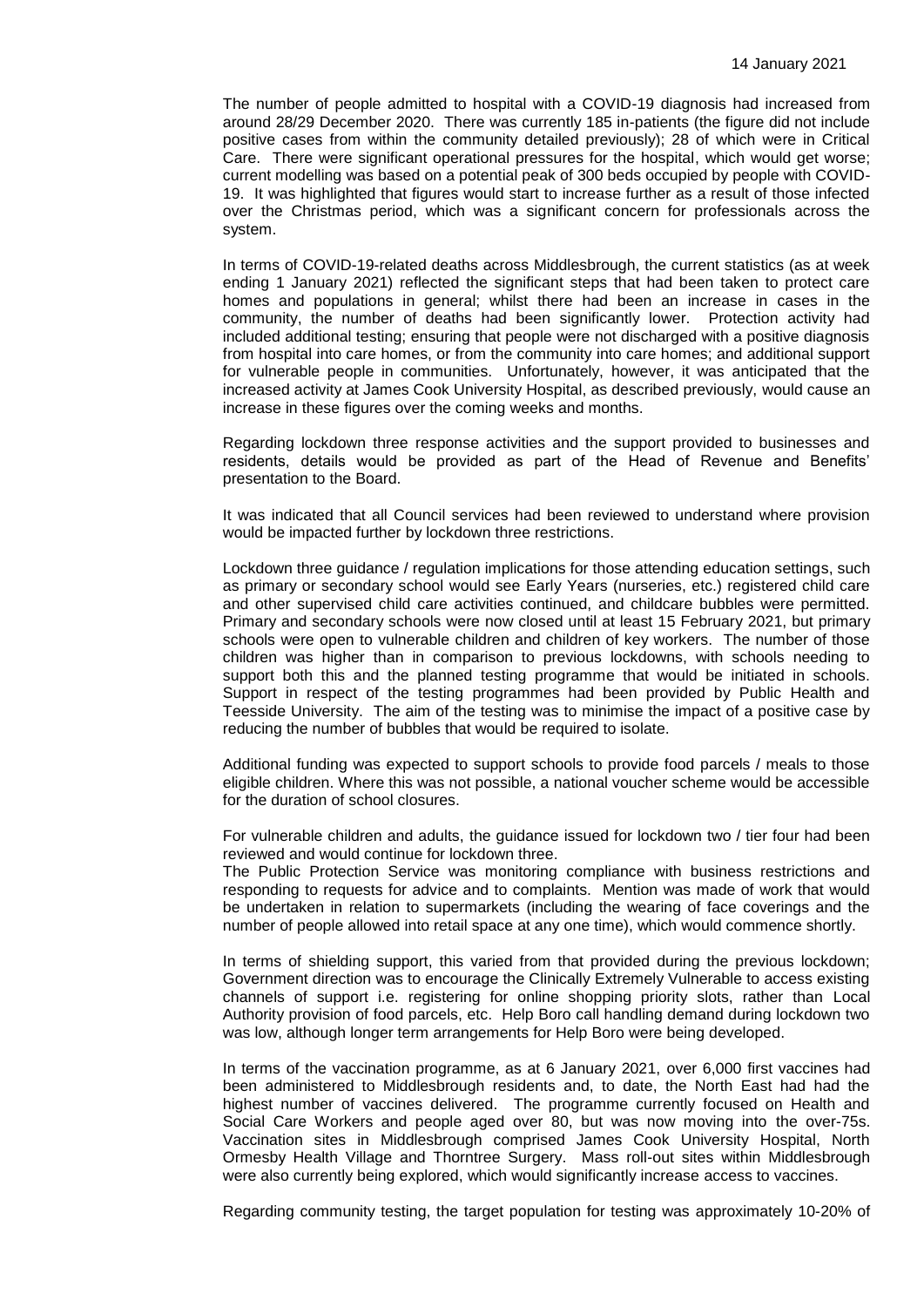The number of people admitted to hospital with a COVID-19 diagnosis had increased from around 28/29 December 2020. There was currently 185 in-patients (the figure did not include positive cases from within the community detailed previously); 28 of which were in Critical Care. There were significant operational pressures for the hospital, which would get worse; current modelling was based on a potential peak of 300 beds occupied by people with COVID-19. It was highlighted that figures would start to increase further as a result of those infected over the Christmas period, which was a significant concern for professionals across the system.

In terms of COVID-19-related deaths across Middlesbrough, the current statistics (as at week ending 1 January 2021) reflected the significant steps that had been taken to protect care homes and populations in general; whilst there had been an increase in cases in the community, the number of deaths had been significantly lower. Protection activity had included additional testing; ensuring that people were not discharged with a positive diagnosis from hospital into care homes, or from the community into care homes; and additional support for vulnerable people in communities. Unfortunately, however, it was anticipated that the increased activity at James Cook University Hospital, as described previously, would cause an increase in these figures over the coming weeks and months.

Regarding lockdown three response activities and the support provided to businesses and residents, details would be provided as part of the Head of Revenue and Benefits' presentation to the Board.

It was indicated that all Council services had been reviewed to understand where provision would be impacted further by lockdown three restrictions.

Lockdown three guidance / regulation implications for those attending education settings, such as primary or secondary school would see Early Years (nurseries, etc.) registered child care and other supervised child care activities continued, and childcare bubbles were permitted. Primary and secondary schools were now closed until at least 15 February 2021, but primary schools were open to vulnerable children and children of key workers. The number of those children was higher than in comparison to previous lockdowns, with schools needing to support both this and the planned testing programme that would be initiated in schools. Support in respect of the testing programmes had been provided by Public Health and Teesside University. The aim of the testing was to minimise the impact of a positive case by reducing the number of bubbles that would be required to isolate.

Additional funding was expected to support schools to provide food parcels / meals to those eligible children. Where this was not possible, a national voucher scheme would be accessible for the duration of school closures.

For vulnerable children and adults, the guidance issued for lockdown two / tier four had been reviewed and would continue for lockdown three.

The Public Protection Service was monitoring compliance with business restrictions and responding to requests for advice and to complaints. Mention was made of work that would be undertaken in relation to supermarkets (including the wearing of face coverings and the number of people allowed into retail space at any one time), which would commence shortly.

In terms of shielding support, this varied from that provided during the previous lockdown; Government direction was to encourage the Clinically Extremely Vulnerable to access existing channels of support i.e. registering for online shopping priority slots, rather than Local Authority provision of food parcels, etc. Help Boro call handling demand during lockdown two was low, although longer term arrangements for Help Boro were being developed.

In terms of the vaccination programme, as at 6 January 2021, over 6,000 first vaccines had been administered to Middlesbrough residents and, to date, the North East had had the highest number of vaccines delivered. The programme currently focused on Health and Social Care Workers and people aged over 80, but was now moving into the over-75s. Vaccination sites in Middlesbrough comprised James Cook University Hospital, North Ormesby Health Village and Thorntree Surgery. Mass roll-out sites within Middlesbrough were also currently being explored, which would significantly increase access to vaccines.

Regarding community testing, the target population for testing was approximately 10-20% of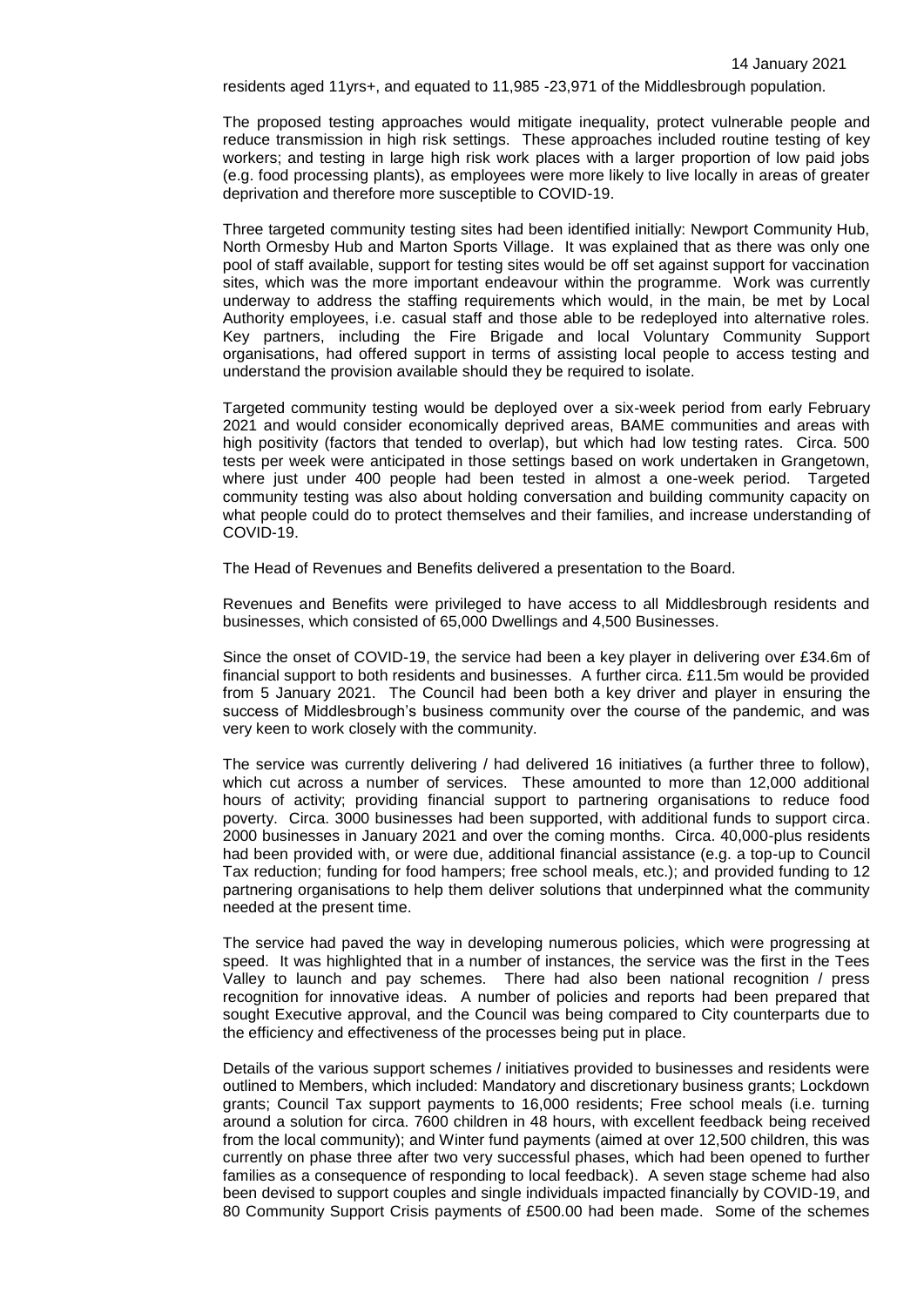residents aged 11yrs+, and equated to 11,985 -23,971 of the Middlesbrough population.

The proposed testing approaches would mitigate inequality, protect vulnerable people and reduce transmission in high risk settings. These approaches included routine testing of key workers; and testing in large high risk work places with a larger proportion of low paid jobs (e.g. food processing plants), as employees were more likely to live locally in areas of greater deprivation and therefore more susceptible to COVID-19.

Three targeted community testing sites had been identified initially: Newport Community Hub, North Ormesby Hub and Marton Sports Village. It was explained that as there was only one pool of staff available, support for testing sites would be off set against support for vaccination sites, which was the more important endeavour within the programme. Work was currently underway to address the staffing requirements which would, in the main, be met by Local Authority employees, i.e. casual staff and those able to be redeployed into alternative roles. Key partners, including the Fire Brigade and local Voluntary Community Support organisations, had offered support in terms of assisting local people to access testing and understand the provision available should they be required to isolate.

Targeted community testing would be deployed over a six-week period from early February 2021 and would consider economically deprived areas, BAME communities and areas with high positivity (factors that tended to overlap), but which had low testing rates. Circa. 500 tests per week were anticipated in those settings based on work undertaken in Grangetown, where just under 400 people had been tested in almost a one-week period. Targeted community testing was also about holding conversation and building community capacity on what people could do to protect themselves and their families, and increase understanding of COVID-19.

The Head of Revenues and Benefits delivered a presentation to the Board.

Revenues and Benefits were privileged to have access to all Middlesbrough residents and businesses, which consisted of 65,000 Dwellings and 4,500 Businesses.

Since the onset of COVID-19, the service had been a key player in delivering over £34.6m of financial support to both residents and businesses. A further circa. £11.5m would be provided from 5 January 2021. The Council had been both a key driver and player in ensuring the success of Middlesbrough's business community over the course of the pandemic, and was very keen to work closely with the community.

The service was currently delivering / had delivered 16 initiatives (a further three to follow), which cut across a number of services. These amounted to more than 12,000 additional hours of activity; providing financial support to partnering organisations to reduce food poverty. Circa. 3000 businesses had been supported, with additional funds to support circa. 2000 businesses in January 2021 and over the coming months. Circa. 40,000-plus residents had been provided with, or were due, additional financial assistance (e.g. a top-up to Council Tax reduction; funding for food hampers; free school meals, etc.); and provided funding to 12 partnering organisations to help them deliver solutions that underpinned what the community needed at the present time.

The service had paved the way in developing numerous policies, which were progressing at speed. It was highlighted that in a number of instances, the service was the first in the Tees Valley to launch and pay schemes. There had also been national recognition / press recognition for innovative ideas. A number of policies and reports had been prepared that sought Executive approval, and the Council was being compared to City counterparts due to the efficiency and effectiveness of the processes being put in place.

Details of the various support schemes / initiatives provided to businesses and residents were outlined to Members, which included: Mandatory and discretionary business grants; Lockdown grants; Council Tax support payments to 16,000 residents; Free school meals (i.e. turning around a solution for circa. 7600 children in 48 hours, with excellent feedback being received from the local community); and Winter fund payments (aimed at over 12,500 children, this was currently on phase three after two very successful phases, which had been opened to further families as a consequence of responding to local feedback). A seven stage scheme had also been devised to support couples and single individuals impacted financially by COVID-19, and 80 Community Support Crisis payments of £500.00 had been made. Some of the schemes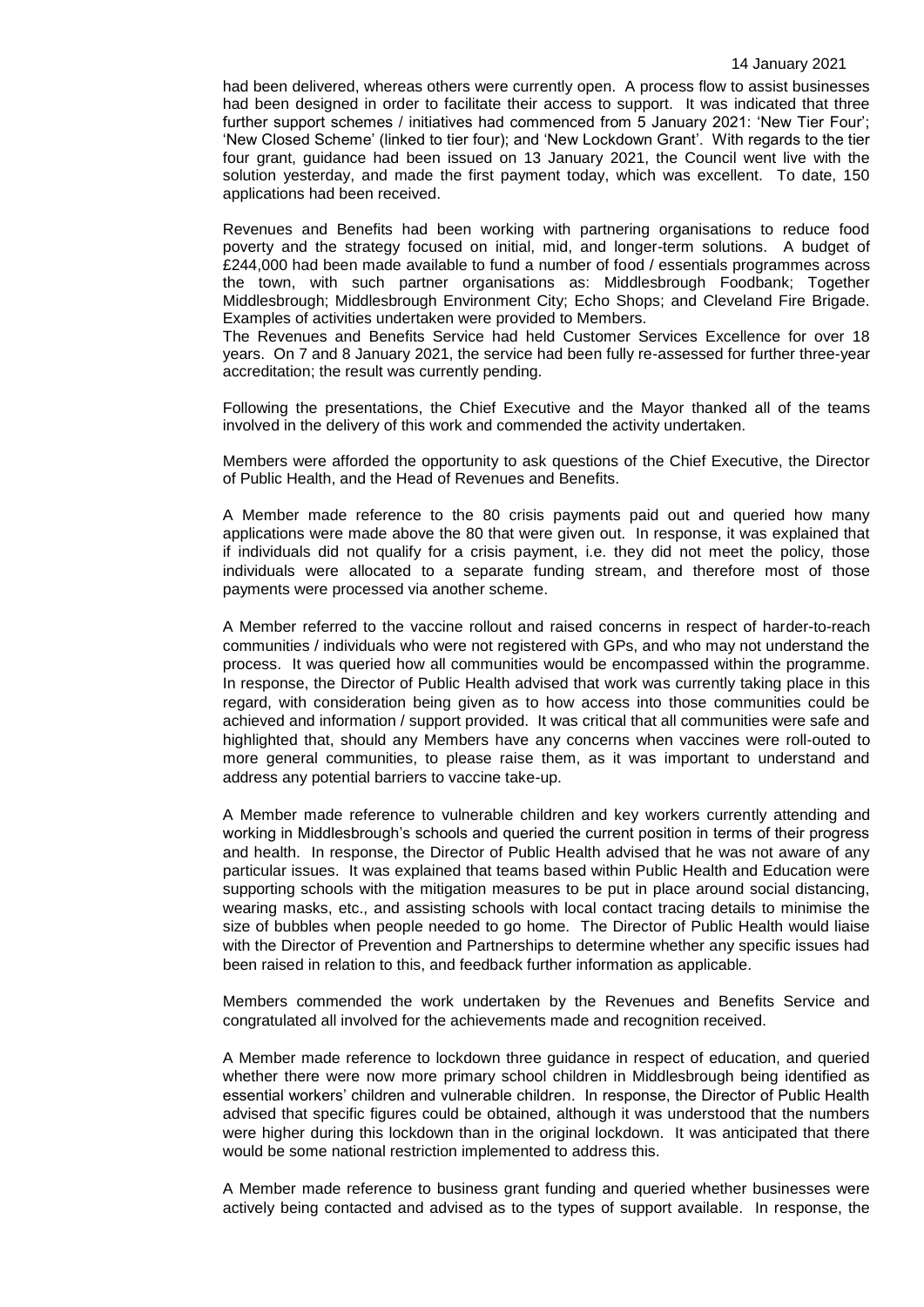had been delivered, whereas others were currently open. A process flow to assist businesses had been designed in order to facilitate their access to support. It was indicated that three further support schemes / initiatives had commenced from 5 January 2021: 'New Tier Four'; 'New Closed Scheme' (linked to tier four); and 'New Lockdown Grant'. With regards to the tier four grant, guidance had been issued on 13 January 2021, the Council went live with the solution yesterday, and made the first payment today, which was excellent. To date, 150 applications had been received.

Revenues and Benefits had been working with partnering organisations to reduce food poverty and the strategy focused on initial, mid, and longer-term solutions. A budget of £244,000 had been made available to fund a number of food / essentials programmes across the town, with such partner organisations as: Middlesbrough Foodbank; Together Middlesbrough; Middlesbrough Environment City; Echo Shops; and Cleveland Fire Brigade. Examples of activities undertaken were provided to Members.

The Revenues and Benefits Service had held Customer Services Excellence for over 18 years. On 7 and 8 January 2021, the service had been fully re-assessed for further three-year accreditation; the result was currently pending.

Following the presentations, the Chief Executive and the Mayor thanked all of the teams involved in the delivery of this work and commended the activity undertaken.

Members were afforded the opportunity to ask questions of the Chief Executive, the Director of Public Health, and the Head of Revenues and Benefits.

A Member made reference to the 80 crisis payments paid out and queried how many applications were made above the 80 that were given out. In response, it was explained that if individuals did not qualify for a crisis payment, i.e. they did not meet the policy, those individuals were allocated to a separate funding stream, and therefore most of those payments were processed via another scheme.

A Member referred to the vaccine rollout and raised concerns in respect of harder-to-reach communities / individuals who were not registered with GPs, and who may not understand the process. It was queried how all communities would be encompassed within the programme. In response, the Director of Public Health advised that work was currently taking place in this regard, with consideration being given as to how access into those communities could be achieved and information / support provided. It was critical that all communities were safe and highlighted that, should any Members have any concerns when vaccines were roll-outed to more general communities, to please raise them, as it was important to understand and address any potential barriers to vaccine take-up.

A Member made reference to vulnerable children and key workers currently attending and working in Middlesbrough's schools and queried the current position in terms of their progress and health. In response, the Director of Public Health advised that he was not aware of any particular issues. It was explained that teams based within Public Health and Education were supporting schools with the mitigation measures to be put in place around social distancing, wearing masks, etc., and assisting schools with local contact tracing details to minimise the size of bubbles when people needed to go home. The Director of Public Health would liaise with the Director of Prevention and Partnerships to determine whether any specific issues had been raised in relation to this, and feedback further information as applicable.

Members commended the work undertaken by the Revenues and Benefits Service and congratulated all involved for the achievements made and recognition received.

A Member made reference to lockdown three guidance in respect of education, and queried whether there were now more primary school children in Middlesbrough being identified as essential workers' children and vulnerable children. In response, the Director of Public Health advised that specific figures could be obtained, although it was understood that the numbers were higher during this lockdown than in the original lockdown. It was anticipated that there would be some national restriction implemented to address this.

A Member made reference to business grant funding and queried whether businesses were actively being contacted and advised as to the types of support available. In response, the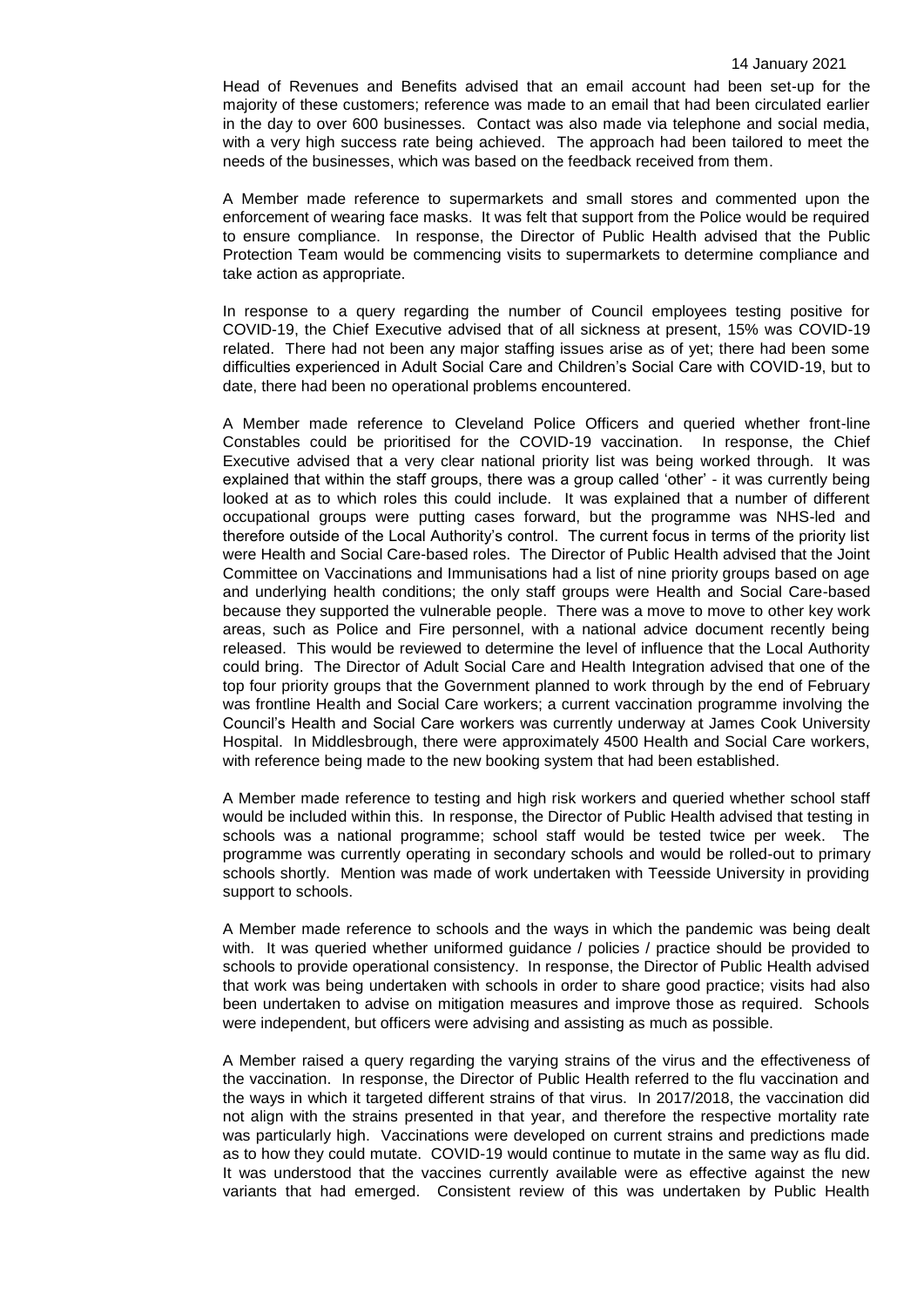Head of Revenues and Benefits advised that an email account had been set-up for the majority of these customers; reference was made to an email that had been circulated earlier in the day to over 600 businesses. Contact was also made via telephone and social media, with a very high success rate being achieved. The approach had been tailored to meet the needs of the businesses, which was based on the feedback received from them.

A Member made reference to supermarkets and small stores and commented upon the enforcement of wearing face masks. It was felt that support from the Police would be required to ensure compliance. In response, the Director of Public Health advised that the Public Protection Team would be commencing visits to supermarkets to determine compliance and take action as appropriate.

In response to a query regarding the number of Council employees testing positive for COVID-19, the Chief Executive advised that of all sickness at present, 15% was COVID-19 related. There had not been any major staffing issues arise as of yet; there had been some difficulties experienced in Adult Social Care and Children's Social Care with COVID-19, but to date, there had been no operational problems encountered.

A Member made reference to Cleveland Police Officers and queried whether front-line Constables could be prioritised for the COVID-19 vaccination. In response, the Chief Executive advised that a very clear national priority list was being worked through. It was explained that within the staff groups, there was a group called 'other' - it was currently being looked at as to which roles this could include. It was explained that a number of different occupational groups were putting cases forward, but the programme was NHS-led and therefore outside of the Local Authority's control. The current focus in terms of the priority list were Health and Social Care-based roles. The Director of Public Health advised that the Joint Committee on Vaccinations and Immunisations had a list of nine priority groups based on age and underlying health conditions; the only staff groups were Health and Social Care-based because they supported the vulnerable people. There was a move to move to other key work areas, such as Police and Fire personnel, with a national advice document recently being released. This would be reviewed to determine the level of influence that the Local Authority could bring. The Director of Adult Social Care and Health Integration advised that one of the top four priority groups that the Government planned to work through by the end of February was frontline Health and Social Care workers; a current vaccination programme involving the Council's Health and Social Care workers was currently underway at James Cook University Hospital. In Middlesbrough, there were approximately 4500 Health and Social Care workers, with reference being made to the new booking system that had been established.

A Member made reference to testing and high risk workers and queried whether school staff would be included within this. In response, the Director of Public Health advised that testing in schools was a national programme; school staff would be tested twice per week. The programme was currently operating in secondary schools and would be rolled-out to primary schools shortly. Mention was made of work undertaken with Teesside University in providing support to schools.

A Member made reference to schools and the ways in which the pandemic was being dealt with. It was queried whether uniformed guidance / policies / practice should be provided to schools to provide operational consistency. In response, the Director of Public Health advised that work was being undertaken with schools in order to share good practice; visits had also been undertaken to advise on mitigation measures and improve those as required. Schools were independent, but officers were advising and assisting as much as possible.

A Member raised a query regarding the varying strains of the virus and the effectiveness of the vaccination. In response, the Director of Public Health referred to the flu vaccination and the ways in which it targeted different strains of that virus. In 2017/2018, the vaccination did not align with the strains presented in that year, and therefore the respective mortality rate was particularly high. Vaccinations were developed on current strains and predictions made as to how they could mutate. COVID-19 would continue to mutate in the same way as flu did. It was understood that the vaccines currently available were as effective against the new variants that had emerged. Consistent review of this was undertaken by Public Health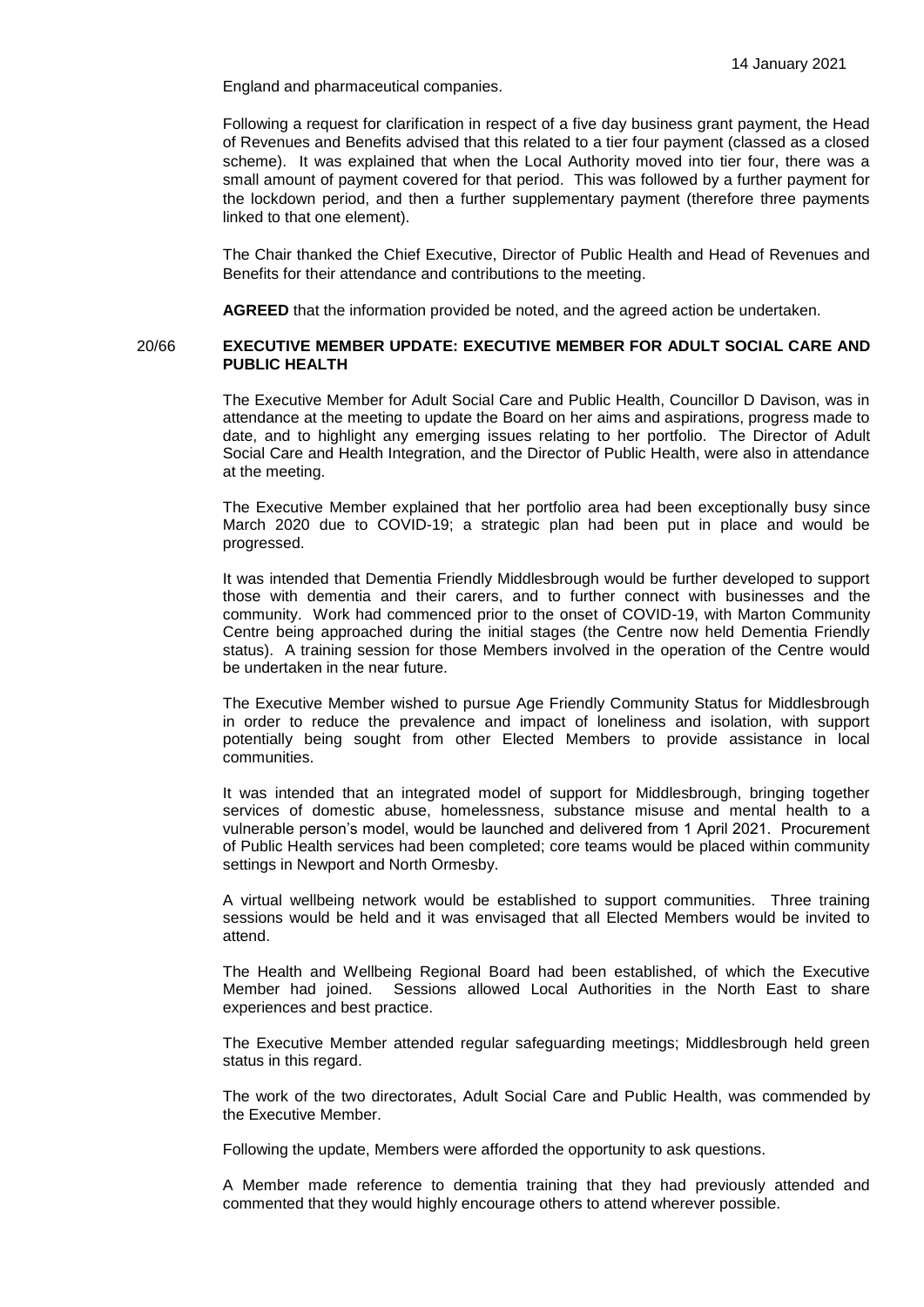England and pharmaceutical companies.

Following a request for clarification in respect of a five day business grant payment, the Head of Revenues and Benefits advised that this related to a tier four payment (classed as a closed scheme). It was explained that when the Local Authority moved into tier four, there was a small amount of payment covered for that period. This was followed by a further payment for the lockdown period, and then a further supplementary payment (therefore three payments linked to that one element).

The Chair thanked the Chief Executive, Director of Public Health and Head of Revenues and Benefits for their attendance and contributions to the meeting.

**AGREED** that the information provided be noted, and the agreed action be undertaken.

### 20/66 **EXECUTIVE MEMBER UPDATE: EXECUTIVE MEMBER FOR ADULT SOCIAL CARE AND PUBLIC HEALTH**

The Executive Member for Adult Social Care and Public Health, Councillor D Davison, was in attendance at the meeting to update the Board on her aims and aspirations, progress made to date, and to highlight any emerging issues relating to her portfolio. The Director of Adult Social Care and Health Integration, and the Director of Public Health, were also in attendance at the meeting.

The Executive Member explained that her portfolio area had been exceptionally busy since March 2020 due to COVID-19; a strategic plan had been put in place and would be progressed.

It was intended that Dementia Friendly Middlesbrough would be further developed to support those with dementia and their carers, and to further connect with businesses and the community. Work had commenced prior to the onset of COVID-19, with Marton Community Centre being approached during the initial stages (the Centre now held Dementia Friendly status). A training session for those Members involved in the operation of the Centre would be undertaken in the near future.

The Executive Member wished to pursue Age Friendly Community Status for Middlesbrough in order to reduce the prevalence and impact of loneliness and isolation, with support potentially being sought from other Elected Members to provide assistance in local communities.

It was intended that an integrated model of support for Middlesbrough, bringing together services of domestic abuse, homelessness, substance misuse and mental health to a vulnerable person's model, would be launched and delivered from 1 April 2021. Procurement of Public Health services had been completed; core teams would be placed within community settings in Newport and North Ormesby.

A virtual wellbeing network would be established to support communities. Three training sessions would be held and it was envisaged that all Elected Members would be invited to attend.

The Health and Wellbeing Regional Board had been established, of which the Executive Member had joined. Sessions allowed Local Authorities in the North East to share experiences and best practice.

The Executive Member attended regular safeguarding meetings; Middlesbrough held green status in this regard.

The work of the two directorates, Adult Social Care and Public Health, was commended by the Executive Member.

Following the update, Members were afforded the opportunity to ask questions.

A Member made reference to dementia training that they had previously attended and commented that they would highly encourage others to attend wherever possible.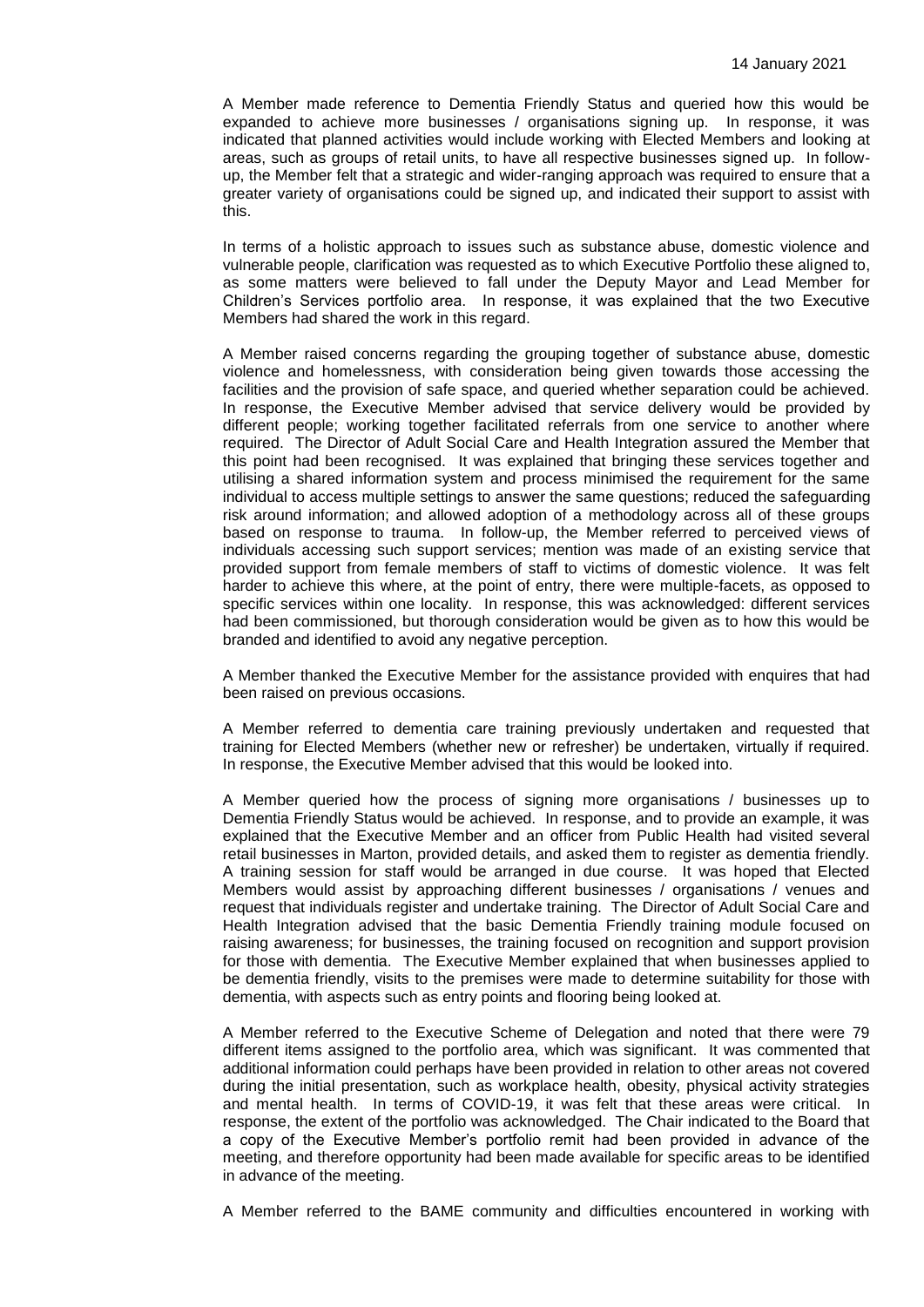A Member made reference to Dementia Friendly Status and queried how this would be expanded to achieve more businesses / organisations signing up. In response, it was indicated that planned activities would include working with Elected Members and looking at areas, such as groups of retail units, to have all respective businesses signed up. In followup, the Member felt that a strategic and wider-ranging approach was required to ensure that a greater variety of organisations could be signed up, and indicated their support to assist with this.

In terms of a holistic approach to issues such as substance abuse, domestic violence and vulnerable people, clarification was requested as to which Executive Portfolio these aligned to, as some matters were believed to fall under the Deputy Mayor and Lead Member for Children's Services portfolio area. In response, it was explained that the two Executive Members had shared the work in this regard.

A Member raised concerns regarding the grouping together of substance abuse, domestic violence and homelessness, with consideration being given towards those accessing the facilities and the provision of safe space, and queried whether separation could be achieved. In response, the Executive Member advised that service delivery would be provided by different people; working together facilitated referrals from one service to another where required. The Director of Adult Social Care and Health Integration assured the Member that this point had been recognised. It was explained that bringing these services together and utilising a shared information system and process minimised the requirement for the same individual to access multiple settings to answer the same questions; reduced the safeguarding risk around information; and allowed adoption of a methodology across all of these groups based on response to trauma. In follow-up, the Member referred to perceived views of individuals accessing such support services; mention was made of an existing service that provided support from female members of staff to victims of domestic violence. It was felt harder to achieve this where, at the point of entry, there were multiple-facets, as opposed to specific services within one locality. In response, this was acknowledged: different services had been commissioned, but thorough consideration would be given as to how this would be branded and identified to avoid any negative perception.

A Member thanked the Executive Member for the assistance provided with enquires that had been raised on previous occasions.

A Member referred to dementia care training previously undertaken and requested that training for Elected Members (whether new or refresher) be undertaken, virtually if required. In response, the Executive Member advised that this would be looked into.

A Member queried how the process of signing more organisations / businesses up to Dementia Friendly Status would be achieved. In response, and to provide an example, it was explained that the Executive Member and an officer from Public Health had visited several retail businesses in Marton, provided details, and asked them to register as dementia friendly. A training session for staff would be arranged in due course. It was hoped that Elected Members would assist by approaching different businesses / organisations / venues and request that individuals register and undertake training. The Director of Adult Social Care and Health Integration advised that the basic Dementia Friendly training module focused on raising awareness; for businesses, the training focused on recognition and support provision for those with dementia. The Executive Member explained that when businesses applied to be dementia friendly, visits to the premises were made to determine suitability for those with dementia, with aspects such as entry points and flooring being looked at.

A Member referred to the Executive Scheme of Delegation and noted that there were 79 different items assigned to the portfolio area, which was significant. It was commented that additional information could perhaps have been provided in relation to other areas not covered during the initial presentation, such as workplace health, obesity, physical activity strategies and mental health. In terms of COVID-19, it was felt that these areas were critical. In response, the extent of the portfolio was acknowledged. The Chair indicated to the Board that a copy of the Executive Member's portfolio remit had been provided in advance of the meeting, and therefore opportunity had been made available for specific areas to be identified in advance of the meeting.

A Member referred to the BAME community and difficulties encountered in working with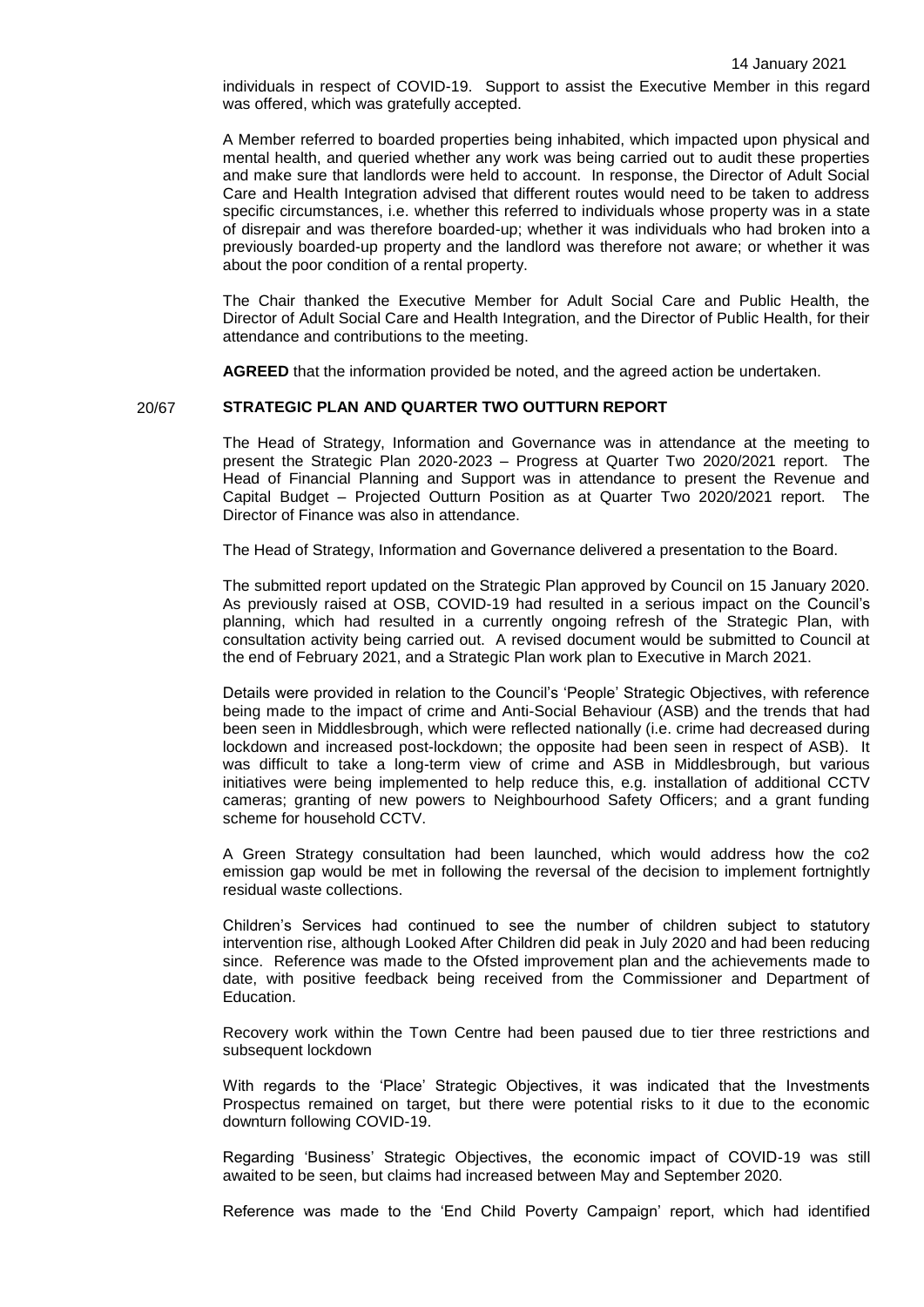individuals in respect of COVID-19. Support to assist the Executive Member in this regard was offered, which was gratefully accepted.

A Member referred to boarded properties being inhabited, which impacted upon physical and mental health, and queried whether any work was being carried out to audit these properties and make sure that landlords were held to account. In response, the Director of Adult Social Care and Health Integration advised that different routes would need to be taken to address specific circumstances, i.e. whether this referred to individuals whose property was in a state of disrepair and was therefore boarded-up; whether it was individuals who had broken into a previously boarded-up property and the landlord was therefore not aware; or whether it was about the poor condition of a rental property.

The Chair thanked the Executive Member for Adult Social Care and Public Health, the Director of Adult Social Care and Health Integration, and the Director of Public Health, for their attendance and contributions to the meeting.

**AGREED** that the information provided be noted, and the agreed action be undertaken.

## 20/67 **STRATEGIC PLAN AND QUARTER TWO OUTTURN REPORT**

The Head of Strategy, Information and Governance was in attendance at the meeting to present the Strategic Plan 2020-2023 – Progress at Quarter Two 2020/2021 report. The Head of Financial Planning and Support was in attendance to present the Revenue and Capital Budget – Projected Outturn Position as at Quarter Two 2020/2021 report. The Director of Finance was also in attendance.

The Head of Strategy, Information and Governance delivered a presentation to the Board.

The submitted report updated on the Strategic Plan approved by Council on 15 January 2020. As previously raised at OSB, COVID-19 had resulted in a serious impact on the Council's planning, which had resulted in a currently ongoing refresh of the Strategic Plan, with consultation activity being carried out. A revised document would be submitted to Council at the end of February 2021, and a Strategic Plan work plan to Executive in March 2021.

Details were provided in relation to the Council's 'People' Strategic Objectives, with reference being made to the impact of crime and Anti-Social Behaviour (ASB) and the trends that had been seen in Middlesbrough, which were reflected nationally (i.e. crime had decreased during lockdown and increased post-lockdown; the opposite had been seen in respect of ASB). It was difficult to take a long-term view of crime and ASB in Middlesbrough, but various initiatives were being implemented to help reduce this, e.g. installation of additional CCTV cameras; granting of new powers to Neighbourhood Safety Officers; and a grant funding scheme for household CCTV.

A Green Strategy consultation had been launched, which would address how the co2 emission gap would be met in following the reversal of the decision to implement fortnightly residual waste collections.

Children's Services had continued to see the number of children subject to statutory intervention rise, although Looked After Children did peak in July 2020 and had been reducing since. Reference was made to the Ofsted improvement plan and the achievements made to date, with positive feedback being received from the Commissioner and Department of Education.

Recovery work within the Town Centre had been paused due to tier three restrictions and subsequent lockdown

With regards to the 'Place' Strategic Objectives, it was indicated that the Investments Prospectus remained on target, but there were potential risks to it due to the economic downturn following COVID-19.

Regarding 'Business' Strategic Objectives, the economic impact of COVID-19 was still awaited to be seen, but claims had increased between May and September 2020.

Reference was made to the 'End Child Poverty Campaign' report, which had identified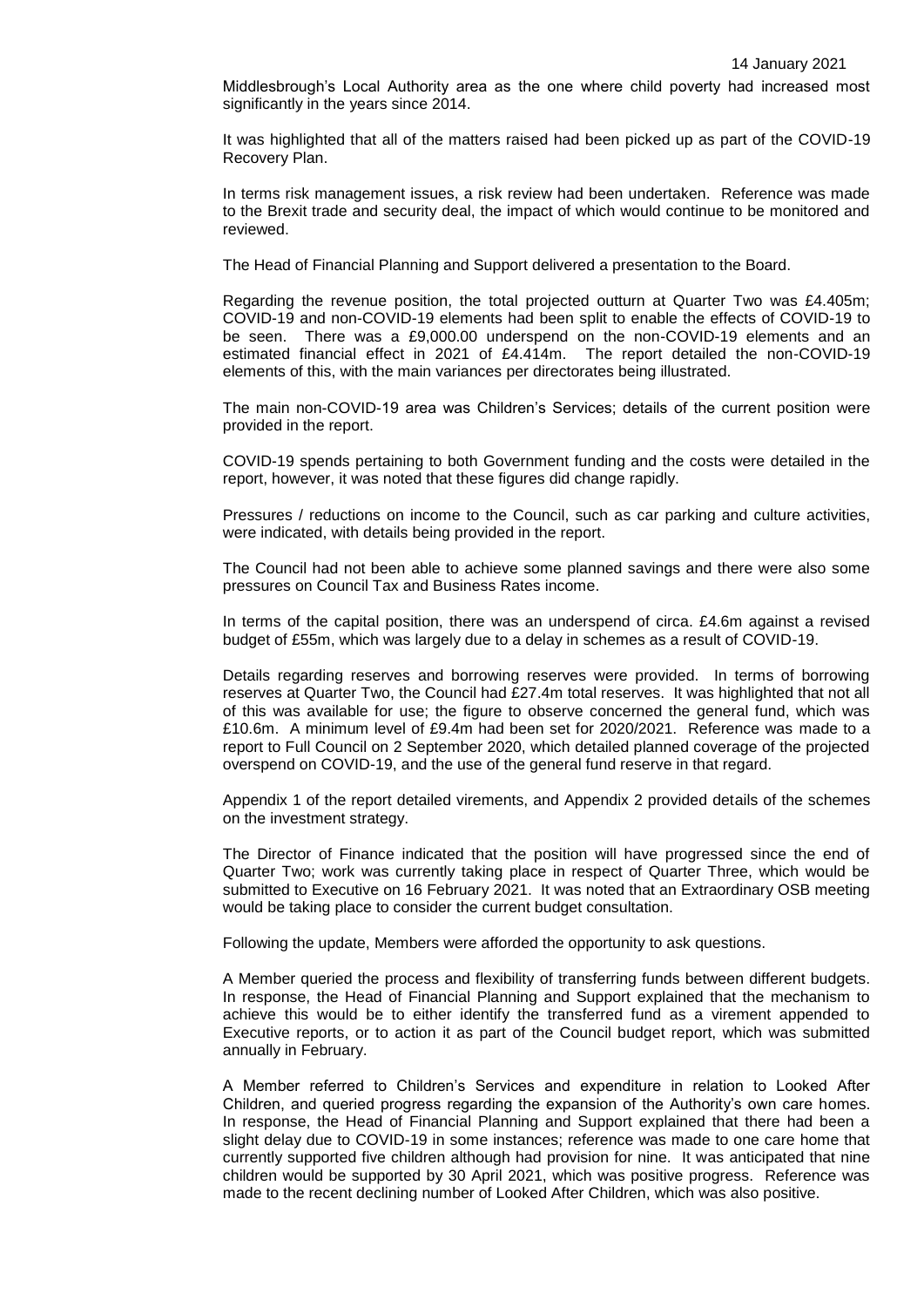Middlesbrough's Local Authority area as the one where child poverty had increased most significantly in the years since 2014.

It was highlighted that all of the matters raised had been picked up as part of the COVID-19 Recovery Plan.

In terms risk management issues, a risk review had been undertaken. Reference was made to the Brexit trade and security deal, the impact of which would continue to be monitored and reviewed.

The Head of Financial Planning and Support delivered a presentation to the Board.

Regarding the revenue position, the total projected outturn at Quarter Two was £4.405m; COVID-19 and non-COVID-19 elements had been split to enable the effects of COVID-19 to be seen. There was a £9,000.00 underspend on the non-COVID-19 elements and an estimated financial effect in 2021 of £4.414m. The report detailed the non-COVID-19 elements of this, with the main variances per directorates being illustrated.

The main non-COVID-19 area was Children's Services; details of the current position were provided in the report.

COVID-19 spends pertaining to both Government funding and the costs were detailed in the report, however, it was noted that these figures did change rapidly.

Pressures / reductions on income to the Council, such as car parking and culture activities, were indicated, with details being provided in the report.

The Council had not been able to achieve some planned savings and there were also some pressures on Council Tax and Business Rates income.

In terms of the capital position, there was an underspend of circa. £4.6m against a revised budget of £55m, which was largely due to a delay in schemes as a result of COVID-19.

Details regarding reserves and borrowing reserves were provided. In terms of borrowing reserves at Quarter Two, the Council had £27.4m total reserves. It was highlighted that not all of this was available for use; the figure to observe concerned the general fund, which was £10.6m. A minimum level of £9.4m had been set for 2020/2021. Reference was made to a report to Full Council on 2 September 2020, which detailed planned coverage of the projected overspend on COVID-19, and the use of the general fund reserve in that regard.

Appendix 1 of the report detailed virements, and Appendix 2 provided details of the schemes on the investment strategy.

The Director of Finance indicated that the position will have progressed since the end of Quarter Two; work was currently taking place in respect of Quarter Three, which would be submitted to Executive on 16 February 2021. It was noted that an Extraordinary OSB meeting would be taking place to consider the current budget consultation.

Following the update, Members were afforded the opportunity to ask questions.

A Member queried the process and flexibility of transferring funds between different budgets. In response, the Head of Financial Planning and Support explained that the mechanism to achieve this would be to either identify the transferred fund as a virement appended to Executive reports, or to action it as part of the Council budget report, which was submitted annually in February.

A Member referred to Children's Services and expenditure in relation to Looked After Children, and queried progress regarding the expansion of the Authority's own care homes. In response, the Head of Financial Planning and Support explained that there had been a slight delay due to COVID-19 in some instances; reference was made to one care home that currently supported five children although had provision for nine. It was anticipated that nine children would be supported by 30 April 2021, which was positive progress. Reference was made to the recent declining number of Looked After Children, which was also positive.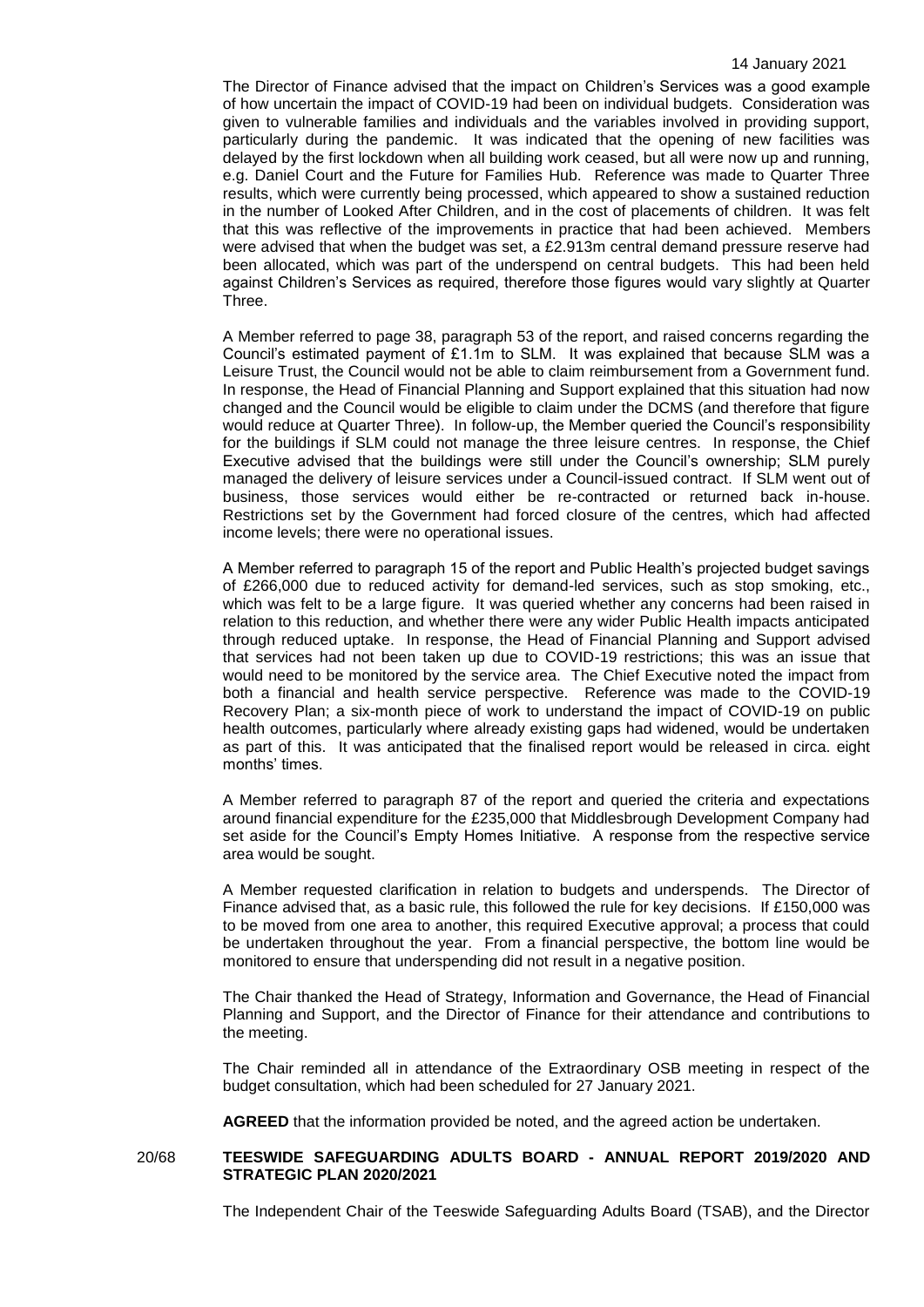The Director of Finance advised that the impact on Children's Services was a good example of how uncertain the impact of COVID-19 had been on individual budgets. Consideration was given to vulnerable families and individuals and the variables involved in providing support, particularly during the pandemic. It was indicated that the opening of new facilities was delayed by the first lockdown when all building work ceased, but all were now up and running, e.g. Daniel Court and the Future for Families Hub. Reference was made to Quarter Three results, which were currently being processed, which appeared to show a sustained reduction in the number of Looked After Children, and in the cost of placements of children. It was felt that this was reflective of the improvements in practice that had been achieved. Members were advised that when the budget was set, a £2.913m central demand pressure reserve had been allocated, which was part of the underspend on central budgets. This had been held against Children's Services as required, therefore those figures would vary slightly at Quarter Three.

A Member referred to page 38, paragraph 53 of the report, and raised concerns regarding the Council's estimated payment of £1.1m to SLM. It was explained that because SLM was a Leisure Trust, the Council would not be able to claim reimbursement from a Government fund. In response, the Head of Financial Planning and Support explained that this situation had now changed and the Council would be eligible to claim under the DCMS (and therefore that figure would reduce at Quarter Three). In follow-up, the Member queried the Council's responsibility for the buildings if SLM could not manage the three leisure centres. In response, the Chief Executive advised that the buildings were still under the Council's ownership; SLM purely managed the delivery of leisure services under a Council-issued contract. If SLM went out of business, those services would either be re-contracted or returned back in-house. Restrictions set by the Government had forced closure of the centres, which had affected income levels; there were no operational issues.

A Member referred to paragraph 15 of the report and Public Health's projected budget savings of £266,000 due to reduced activity for demand-led services, such as stop smoking, etc., which was felt to be a large figure. It was queried whether any concerns had been raised in relation to this reduction, and whether there were any wider Public Health impacts anticipated through reduced uptake. In response, the Head of Financial Planning and Support advised that services had not been taken up due to COVID-19 restrictions; this was an issue that would need to be monitored by the service area. The Chief Executive noted the impact from both a financial and health service perspective. Reference was made to the COVID-19 Recovery Plan; a six-month piece of work to understand the impact of COVID-19 on public health outcomes, particularly where already existing gaps had widened, would be undertaken as part of this. It was anticipated that the finalised report would be released in circa. eight months' times.

A Member referred to paragraph 87 of the report and queried the criteria and expectations around financial expenditure for the £235,000 that Middlesbrough Development Company had set aside for the Council's Empty Homes Initiative. A response from the respective service area would be sought.

A Member requested clarification in relation to budgets and underspends. The Director of Finance advised that, as a basic rule, this followed the rule for key decisions. If £150,000 was to be moved from one area to another, this required Executive approval; a process that could be undertaken throughout the year. From a financial perspective, the bottom line would be monitored to ensure that underspending did not result in a negative position.

The Chair thanked the Head of Strategy, Information and Governance, the Head of Financial Planning and Support, and the Director of Finance for their attendance and contributions to the meeting.

The Chair reminded all in attendance of the Extraordinary OSB meeting in respect of the budget consultation, which had been scheduled for 27 January 2021.

**AGREED** that the information provided be noted, and the agreed action be undertaken.

### 20/68 **TEESWIDE SAFEGUARDING ADULTS BOARD - ANNUAL REPORT 2019/2020 AND STRATEGIC PLAN 2020/2021**

The Independent Chair of the Teeswide Safeguarding Adults Board (TSAB), and the Director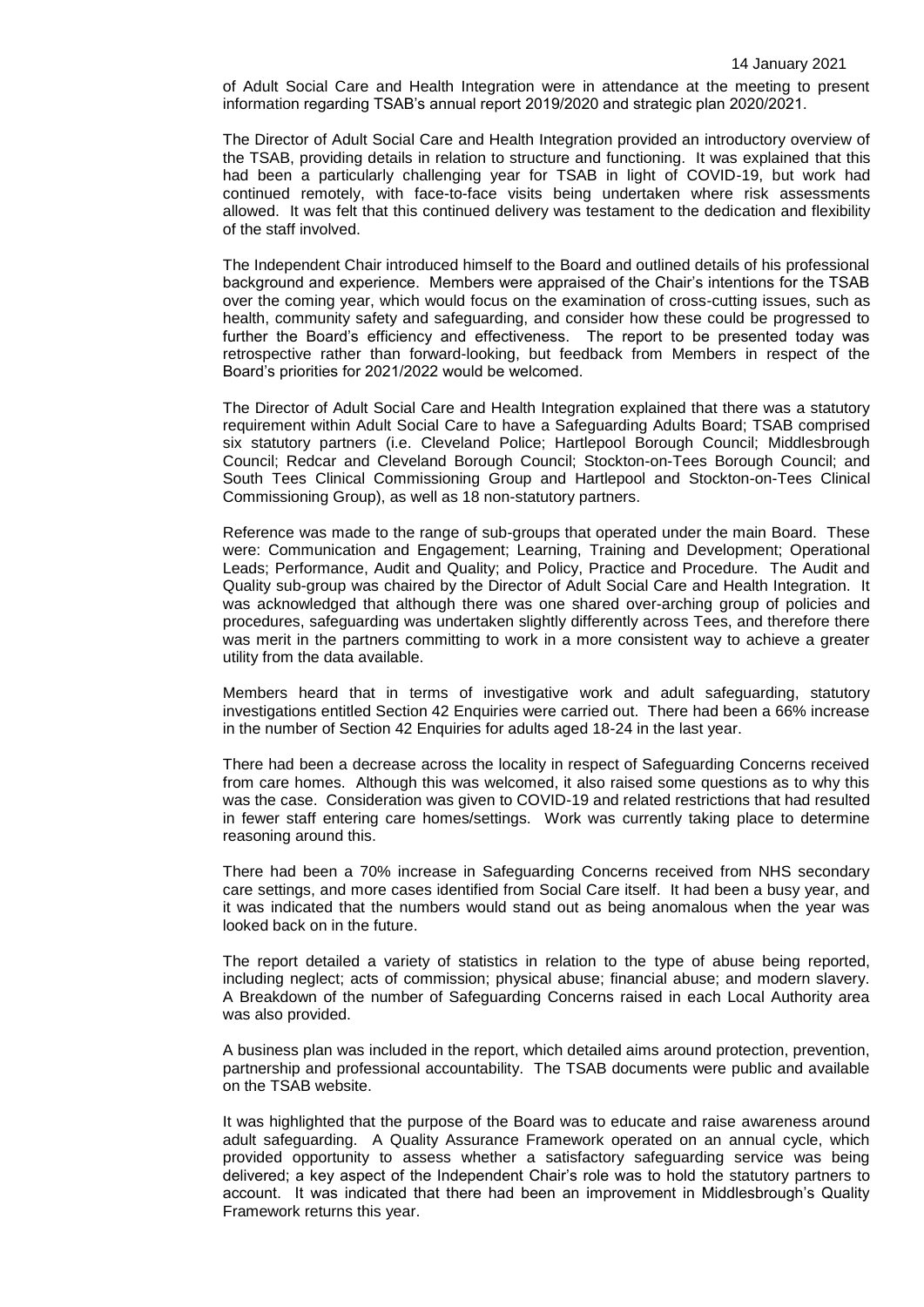of Adult Social Care and Health Integration were in attendance at the meeting to present information regarding TSAB's annual report 2019/2020 and strategic plan 2020/2021.

The Director of Adult Social Care and Health Integration provided an introductory overview of the TSAB, providing details in relation to structure and functioning. It was explained that this had been a particularly challenging year for TSAB in light of COVID-19, but work had continued remotely, with face-to-face visits being undertaken where risk assessments allowed. It was felt that this continued delivery was testament to the dedication and flexibility of the staff involved.

The Independent Chair introduced himself to the Board and outlined details of his professional background and experience. Members were appraised of the Chair's intentions for the TSAB over the coming year, which would focus on the examination of cross-cutting issues, such as health, community safety and safeguarding, and consider how these could be progressed to further the Board's efficiency and effectiveness. The report to be presented today was retrospective rather than forward-looking, but feedback from Members in respect of the Board's priorities for 2021/2022 would be welcomed.

The Director of Adult Social Care and Health Integration explained that there was a statutory requirement within Adult Social Care to have a Safeguarding Adults Board; TSAB comprised six statutory partners (i.e. Cleveland Police; Hartlepool Borough Council; Middlesbrough Council; Redcar and Cleveland Borough Council; Stockton-on-Tees Borough Council; and South Tees Clinical Commissioning Group and Hartlepool and Stockton-on-Tees Clinical Commissioning Group), as well as 18 non-statutory partners.

Reference was made to the range of sub-groups that operated under the main Board. These were: Communication and Engagement; Learning, Training and Development; Operational Leads; Performance, Audit and Quality; and Policy, Practice and Procedure. The Audit and Quality sub-group was chaired by the Director of Adult Social Care and Health Integration. It was acknowledged that although there was one shared over-arching group of policies and procedures, safeguarding was undertaken slightly differently across Tees, and therefore there was merit in the partners committing to work in a more consistent way to achieve a greater utility from the data available.

Members heard that in terms of investigative work and adult safeguarding, statutory investigations entitled Section 42 Enquiries were carried out. There had been a 66% increase in the number of Section 42 Enquiries for adults aged 18-24 in the last year.

There had been a decrease across the locality in respect of Safeguarding Concerns received from care homes. Although this was welcomed, it also raised some questions as to why this was the case. Consideration was given to COVID-19 and related restrictions that had resulted in fewer staff entering care homes/settings. Work was currently taking place to determine reasoning around this.

There had been a 70% increase in Safeguarding Concerns received from NHS secondary care settings, and more cases identified from Social Care itself. It had been a busy year, and it was indicated that the numbers would stand out as being anomalous when the year was looked back on in the future.

The report detailed a variety of statistics in relation to the type of abuse being reported, including neglect; acts of commission; physical abuse; financial abuse; and modern slavery. A Breakdown of the number of Safeguarding Concerns raised in each Local Authority area was also provided.

A business plan was included in the report, which detailed aims around protection, prevention, partnership and professional accountability. The TSAB documents were public and available on the TSAB website.

It was highlighted that the purpose of the Board was to educate and raise awareness around adult safeguarding. A Quality Assurance Framework operated on an annual cycle, which provided opportunity to assess whether a satisfactory safeguarding service was being delivered; a key aspect of the Independent Chair's role was to hold the statutory partners to account. It was indicated that there had been an improvement in Middlesbrough's Quality Framework returns this year.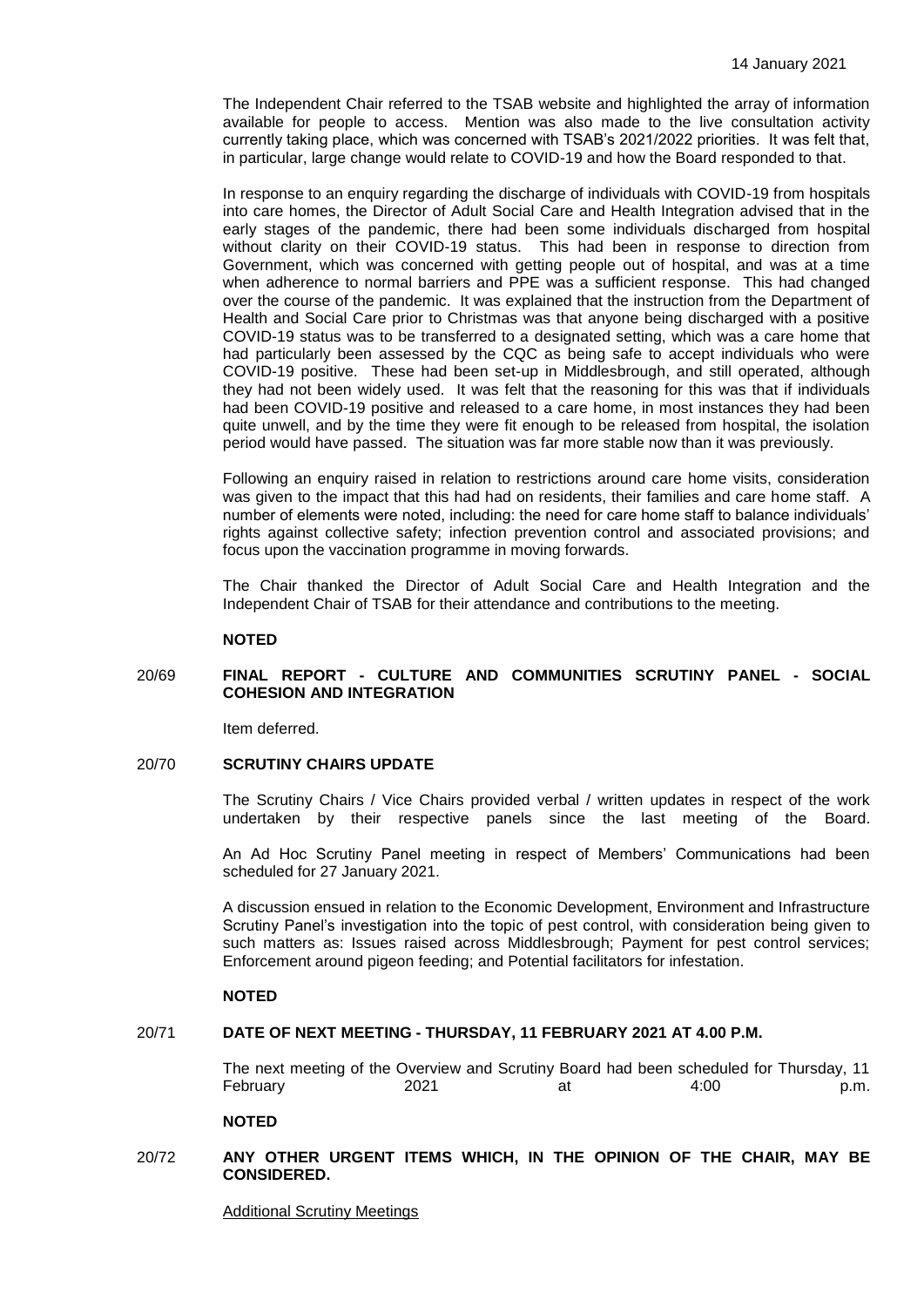The Independent Chair referred to the TSAB website and highlighted the array of information available for people to access. Mention was also made to the live consultation activity currently taking place, which was concerned with TSAB's 2021/2022 priorities. It was felt that, in particular, large change would relate to COVID-19 and how the Board responded to that.

In response to an enquiry regarding the discharge of individuals with COVID-19 from hospitals into care homes, the Director of Adult Social Care and Health Integration advised that in the early stages of the pandemic, there had been some individuals discharged from hospital without clarity on their COVID-19 status. This had been in response to direction from Government, which was concerned with getting people out of hospital, and was at a time when adherence to normal barriers and PPE was a sufficient response. This had changed over the course of the pandemic. It was explained that the instruction from the Department of Health and Social Care prior to Christmas was that anyone being discharged with a positive COVID-19 status was to be transferred to a designated setting, which was a care home that had particularly been assessed by the CQC as being safe to accept individuals who were COVID-19 positive. These had been set-up in Middlesbrough, and still operated, although they had not been widely used. It was felt that the reasoning for this was that if individuals had been COVID-19 positive and released to a care home, in most instances they had been quite unwell, and by the time they were fit enough to be released from hospital, the isolation period would have passed. The situation was far more stable now than it was previously.

Following an enquiry raised in relation to restrictions around care home visits, consideration was given to the impact that this had had on residents, their families and care home staff. A number of elements were noted, including: the need for care home staff to balance individuals' rights against collective safety; infection prevention control and associated provisions; and focus upon the vaccination programme in moving forwards.

The Chair thanked the Director of Adult Social Care and Health Integration and the Independent Chair of TSAB for their attendance and contributions to the meeting.

# **NOTED**

## 20/69 **FINAL REPORT - CULTURE AND COMMUNITIES SCRUTINY PANEL - SOCIAL COHESION AND INTEGRATION**

Item deferred.

## 20/70 **SCRUTINY CHAIRS UPDATE**

The Scrutiny Chairs / Vice Chairs provided verbal / written updates in respect of the work undertaken by their respective panels since the last meeting of the Board.

An Ad Hoc Scrutiny Panel meeting in respect of Members' Communications had been scheduled for 27 January 2021.

A discussion ensued in relation to the Economic Development, Environment and Infrastructure Scrutiny Panel's investigation into the topic of pest control, with consideration being given to such matters as: Issues raised across Middlesbrough; Payment for pest control services; Enforcement around pigeon feeding; and Potential facilitators for infestation.

## **NOTED**

## 20/71 **DATE OF NEXT MEETING - THURSDAY, 11 FEBRUARY 2021 AT 4.00 P.M.**

The next meeting of the Overview and Scrutiny Board had been scheduled for Thursday, 11 February 2021 at 4:00 p.m.

#### **NOTED**

## 20/72 **ANY OTHER URGENT ITEMS WHICH, IN THE OPINION OF THE CHAIR, MAY BE CONSIDERED.**

Additional Scrutiny Meetings